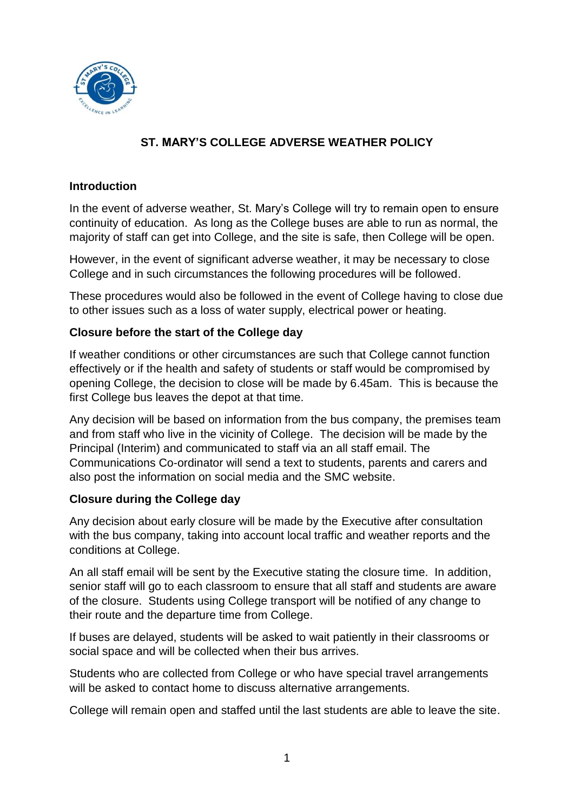

# **ST. MARY'S COLLEGE ADVERSE WEATHER POLICY**

## **Introduction**

In the event of adverse weather, St. Mary's College will try to remain open to ensure continuity of education. As long as the College buses are able to run as normal, the majority of staff can get into College, and the site is safe, then College will be open.

However, in the event of significant adverse weather, it may be necessary to close College and in such circumstances the following procedures will be followed.

These procedures would also be followed in the event of College having to close due to other issues such as a loss of water supply, electrical power or heating.

## **Closure before the start of the College day**

If weather conditions or other circumstances are such that College cannot function effectively or if the health and safety of students or staff would be compromised by opening College, the decision to close will be made by 6.45am. This is because the first College bus leaves the depot at that time.

Any decision will be based on information from the bus company, the premises team and from staff who live in the vicinity of College. The decision will be made by the Principal (Interim) and communicated to staff via an all staff email. The Communications Co-ordinator will send a text to students, parents and carers and also post the information on social media and the SMC website.

## **Closure during the College day**

Any decision about early closure will be made by the Executive after consultation with the bus company, taking into account local traffic and weather reports and the conditions at College.

An all staff email will be sent by the Executive stating the closure time. In addition, senior staff will go to each classroom to ensure that all staff and students are aware of the closure. Students using College transport will be notified of any change to their route and the departure time from College.

If buses are delayed, students will be asked to wait patiently in their classrooms or social space and will be collected when their bus arrives.

Students who are collected from College or who have special travel arrangements will be asked to contact home to discuss alternative arrangements.

College will remain open and staffed until the last students are able to leave the site.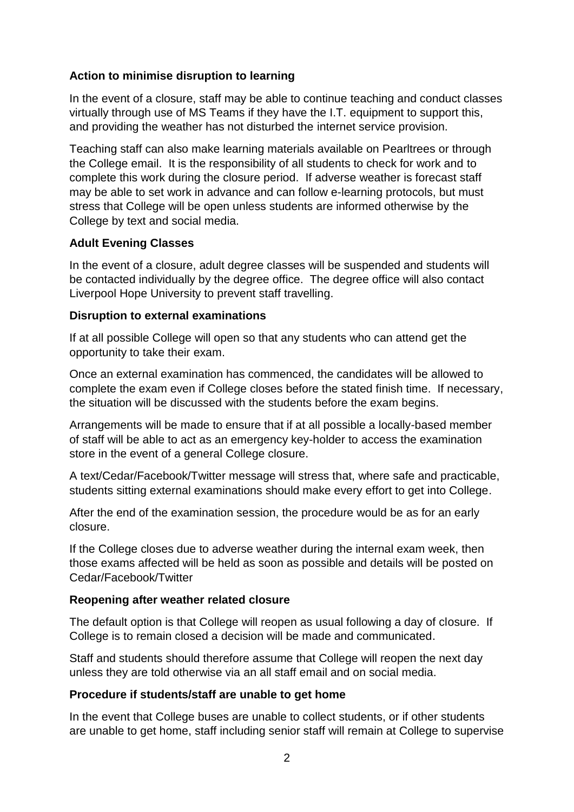## **Action to minimise disruption to learning**

In the event of a closure, staff may be able to continue teaching and conduct classes virtually through use of MS Teams if they have the I.T. equipment to support this, and providing the weather has not disturbed the internet service provision.

Teaching staff can also make learning materials available on Pearltrees or through the College email. It is the responsibility of all students to check for work and to complete this work during the closure period. If adverse weather is forecast staff may be able to set work in advance and can follow e-learning protocols, but must stress that College will be open unless students are informed otherwise by the College by text and social media.

## **Adult Evening Classes**

In the event of a closure, adult degree classes will be suspended and students will be contacted individually by the degree office. The degree office will also contact Liverpool Hope University to prevent staff travelling.

## **Disruption to external examinations**

If at all possible College will open so that any students who can attend get the opportunity to take their exam.

Once an external examination has commenced, the candidates will be allowed to complete the exam even if College closes before the stated finish time. If necessary, the situation will be discussed with the students before the exam begins.

Arrangements will be made to ensure that if at all possible a locally-based member of staff will be able to act as an emergency key-holder to access the examination store in the event of a general College closure.

A text/Cedar/Facebook/Twitter message will stress that, where safe and practicable, students sitting external examinations should make every effort to get into College.

After the end of the examination session, the procedure would be as for an early closure.

If the College closes due to adverse weather during the internal exam week, then those exams affected will be held as soon as possible and details will be posted on Cedar/Facebook/Twitter

## **Reopening after weather related closure**

The default option is that College will reopen as usual following a day of closure. If College is to remain closed a decision will be made and communicated.

Staff and students should therefore assume that College will reopen the next day unless they are told otherwise via an all staff email and on social media.

## **Procedure if students/staff are unable to get home**

In the event that College buses are unable to collect students, or if other students are unable to get home, staff including senior staff will remain at College to supervise